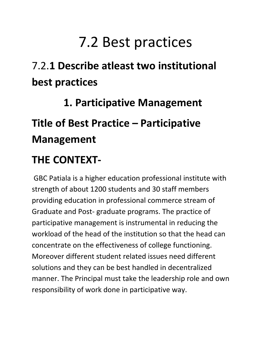# 7.2 Best practices

## 7.2.**1 Describe atleast two institutional best practices**

# **1. Participative Management Title of Best Practice – Participative Management**

### **THE CONTEXT-**

GBC Patiala is a higher education professional institute with strength of about 1200 students and 30 staff members providing education in professional commerce stream of Graduate and Post- graduate programs. The practice of participative management is instrumental in reducing the workload of the head of the institution so that the head can concentrate on the effectiveness of college functioning. Moreover different student related issues need different solutions and they can be best handled in decentralized manner. The Principal must take the leadership role and own responsibility of work done in participative way.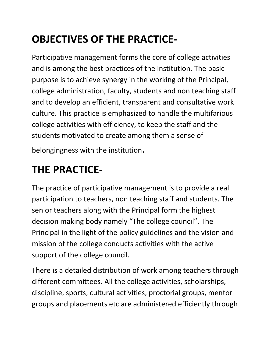### **OBJECTIVES OF THE PRACTICE-**

Participative management forms the core of college activities and is among the best practices of the institution. The basic purpose is to achieve synergy in the working of the Principal, college administration, faculty, students and non teaching staff and to develop an efficient, transparent and consultative work culture. This practice is emphasized to handle the multifarious college activities with efficiency, to keep the staff and the students motivated to create among them a sense of

belongingness with the institution.

#### **THE PRACTICE-**

The practice of participative management is to provide a real participation to teachers, non teaching staff and students. The senior teachers along with the Principal form the highest decision making body namely "The college council". The Principal in the light of the policy guidelines and the vision and mission of the college conducts activities with the active support of the college council.

There is a detailed distribution of work among teachers through different committees. All the college activities, scholarships, discipline, sports, cultural activities, proctorial groups, mentor groups and placements etc are administered efficiently through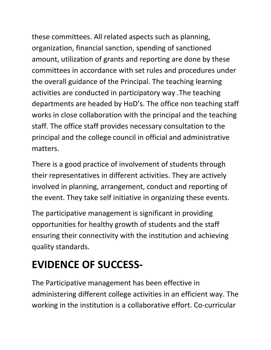these committees. All related aspects such as planning, organization, financial sanction, spending of sanctioned amount, utilization of grants and reporting are done by these committees in accordance with set rules and procedures under the overall guidance of the Principal. The teaching learning activities are conducted in participatory way .The teaching departments are headed by HoD's. The office non teaching staff works in close collaboration with the principal and the teaching staff. The office staff provides necessary consultation to the principal and the college council in official and administrative matters.

There is a good practice of involvement of students through their representatives in different activities. They are actively involved in planning, arrangement, conduct and reporting of the event. They take self initiative in organizing these events.

The participative management is significant in providing opportunities for healthy growth of students and the staff ensuring their connectivity with the institution and achieving quality standards.

### **EVIDENCE OF SUCCESS-**

The Participative management has been effective in administering different college activities in an efficient way. The working in the institution is a collaborative effort. Co-curricular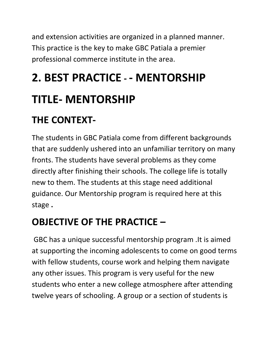and extension activities are organized in a planned manner. This practice is the key to make GBC Patiala a premier professional commerce institute in the area.

# **2. BEST PRACTICE - - MENTORSHIP**

# **TITLE- MENTORSHIP**

### **THE CONTEXT-**

The students in GBC Patiala come from different backgrounds that are suddenly ushered into an unfamiliar territory on many fronts. The students have several problems as they come directly after finishing their schools. The college life is totally new to them. The students at this stage need additional guidance. Our Mentorship program is required here at this stage **.**

### **OBJECTIVE OF THE PRACTICE –**

GBC has a unique successful mentorship program .It is aimed at supporting the incoming adolescents to come on good terms with fellow students, course work and helping them navigate any other issues. This program is very useful for the new students who enter a new college atmosphere after attending twelve years of schooling. A group or a section of students is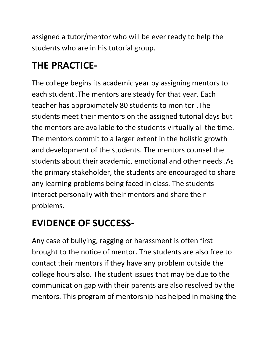assigned a tutor/mentor who will be ever ready to help the students who are in his tutorial group.

#### **THE PRACTICE-**

The college begins its academic year by assigning mentors to each student .The mentors are steady for that year. Each teacher has approximately 80 students to monitor .The students meet their mentors on the assigned tutorial days but the mentors are available to the students virtually all the time. The mentors commit to a larger extent in the holistic growth and development of the students. The mentors counsel the students about their academic, emotional and other needs .As the primary stakeholder, the students are encouraged to share any learning problems being faced in class. The students interact personally with their mentors and share their problems.

#### **EVIDENCE OF SUCCESS-**

Any case of bullying, ragging or harassment is often first brought to the notice of mentor. The students are also free to contact their mentors if they have any problem outside the college hours also. The student issues that may be due to the communication gap with their parents are also resolved by the mentors. This program of mentorship has helped in making the